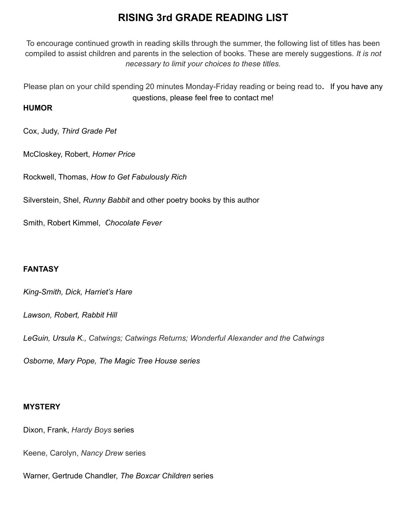# **RISING 3rd GRADE READING LIST**

To encourage continued growth in reading skills through the summer, the following list of titles has been compiled to assist children and parents in the selection of books. These are merely suggestions. *It is not necessary to limit your choices to these titles.*

Please plan on your child spending 20 minutes Monday-Friday reading or being read to. If you have any questions, please feel free to contact me!

### **HUMOR**

Cox, Judy, *Third Grade Pet*

McCloskey, Robert, *Homer Price*

Rockwell, Thomas, *How to Get Fabulously Rich*

Silverstein, Shel, *Runny Babbit* and other poetry books by this author

Smith, Robert Kimmel, *Chocolate Fever*

## **FANTASY**

*King-Smith, Dick, Harriet's Hare*

*Lawson, Robert, Rabbit Hill*

*LeGuin, Ursula K., Catwings; Catwings Returns; Wonderful Alexander and the Catwings*

*Osborne, Mary Pope, The Magic Tree House series*

#### **MYSTERY**

Dixon, Frank, *Hardy Boys* series

Keene, Carolyn, *Nancy Drew* series

Warner, Gertrude Chandler, *The Boxcar Children* series